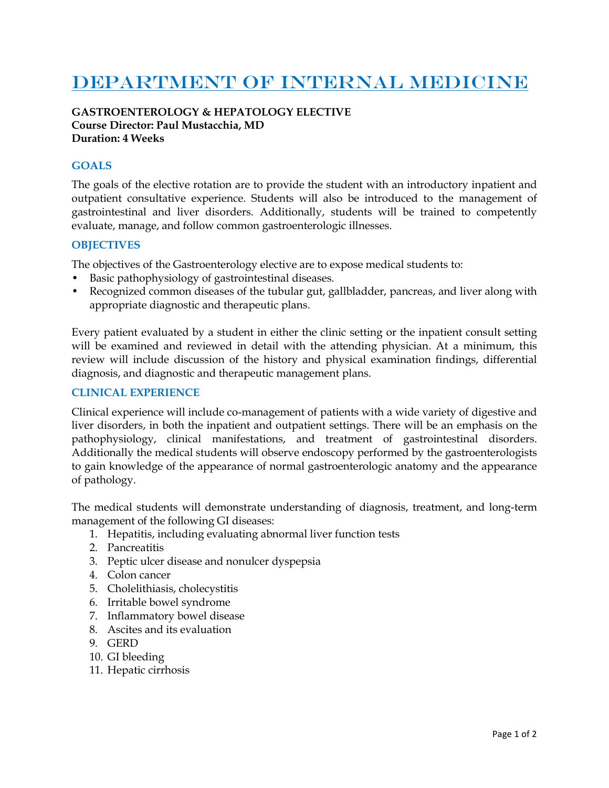# DEPARTMENT OF INTERNAL MEDICINE

## **GASTROENTEROLOGY & HEPATOLOGY ELECTIVE Course Director: Paul Mustacchia, MD Duration: 4 Weeks**

### **GOALS**

The goals of the elective rotation are to provide the student with an introductory inpatient and outpatient consultative experience. Students will also be introduced to the management of gastrointestinal and liver disorders. Additionally, students will be trained to competently evaluate, manage, and follow common gastroenterologic illnesses.

#### **OBJECTIVES**

The objectives of the Gastroenterology elective are to expose medical students to:

- Basic pathophysiology of gastrointestinal diseases.
- Recognized common diseases of the tubular gut, gallbladder, pancreas, and liver along with appropriate diagnostic and therapeutic plans.

Every patient evaluated by a student in either the clinic setting or the inpatient consult setting will be examined and reviewed in detail with the attending physician. At a minimum, this review will include discussion of the history and physical examination findings, differential diagnosis, and diagnostic and therapeutic management plans.

#### **CLINICAL EXPERIENCE**

Clinical experience will include co-management of patients with a wide variety of digestive and liver disorders, in both the inpatient and outpatient settings. There will be an emphasis on the pathophysiology, clinical manifestations, and treatment of gastrointestinal disorders. Additionally the medical students will observe endoscopy performed by the gastroenterologists to gain knowledge of the appearance of normal gastroenterologic anatomy and the appearance of pathology.

The medical students will demonstrate understanding of diagnosis, treatment, and long-term management of the following GI diseases:

- 1. Hepatitis, including evaluating abnormal liver function tests
- 2. Pancreatitis
- 3. Peptic ulcer disease and nonulcer dyspepsia
- 4. Colon cancer
- 5. Cholelithiasis, cholecystitis
- 6. Irritable bowel syndrome
- 7. Inflammatory bowel disease
- 8. Ascites and its evaluation
- 9. GERD
- 10. GI bleeding
- 11. Hepatic cirrhosis